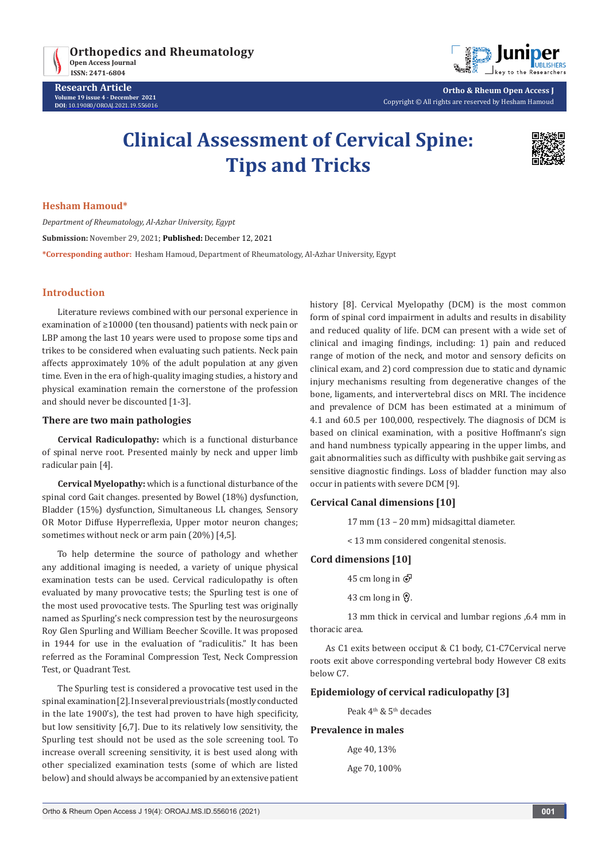

**Research Article Volume 19 issue 4 - December 2021 DOI**: [10.19080/OROAJ.2021.19.55](http://dx.doi.org/10.19080/OROAJ.2021.19.556016)6016



**Ortho & Rheum Open Access J** Copyright © All rights are reserved by Hesham Hamoud

# **Clinical Assessment of Cervical Spine: Tips and Tricks**



### **Hesham Hamoud\***

*Department of Rheumatology, Al-Azhar University, Egypt* **Submission:** November 29, 2021; **Published:** December 12, 2021 **\*Corresponding author:** Hesham Hamoud, Department of Rheumatology, Al-Azhar University, Egypt

# **Introduction**

Literature reviews combined with our personal experience in examination of ≥10000 (ten thousand) patients with neck pain or LBP among the last 10 years were used to propose some tips and trikes to be considered when evaluating such patients. Neck pain affects approximately 10% of the adult population at any given time. Even in the era of high-quality imaging studies, a history and physical examination remain the cornerstone of the profession and should never be discounted [1-3].

#### **There are two main pathologies**

**Cervical Radiculopathy:** which is a functional disturbance of spinal nerve root. Presented mainly by neck and upper limb radicular pain [4].

**Cervical Myelopathy:** which is a functional disturbance of the spinal cord Gait changes. presented by Bowel (18%) dysfunction, Bladder (15%) dysfunction, Simultaneous LL changes, Sensory OR Motor Diffuse Hyperreflexia, Upper motor neuron changes; sometimes without neck or arm pain (20%) [4,5].

To help determine the source of pathology and whether any additional imaging is needed, a variety of unique physical examination tests can be used. Cervical radiculopathy is often evaluated by many provocative tests; the Spurling test is one of the most used provocative tests. The Spurling test was originally named as Spurling's neck compression test by the neurosurgeons Roy Glen Spurling and William Beecher Scoville. It was proposed in 1944 for use in the evaluation of "radiculitis." It has been referred as the Foraminal Compression Test, Neck Compression Test, or Quadrant Test.

The Spurling test is considered a provocative test used in the spinal examination [2]. In several previous trials (mostly conducted in the late 1900's), the test had proven to have high specificity, but low sensitivity [6,7]. Due to its relatively low sensitivity, the Spurling test should not be used as the sole screening tool. To increase overall screening sensitivity, it is best used along with other specialized examination tests (some of which are listed below) and should always be accompanied by an extensive patient

history [8]. Cervical Myelopathy (DCM) is the most common form of spinal cord impairment in adults and results in disability and reduced quality of life. DCM can present with a wide set of clinical and imaging findings, including: 1) pain and reduced range of motion of the neck, and motor and sensory deficits on clinical exam, and 2) cord compression due to static and dynamic injury mechanisms resulting from degenerative changes of the bone, ligaments, and intervertebral discs on MRI. The incidence and prevalence of DCM has been estimated at a minimum of 4.1 and 60.5 per 100,000, respectively. The diagnosis of DCM is based on clinical examination, with a positive Hoffmann's sign and hand numbness typically appearing in the upper limbs, and gait abnormalities such as difficulty with pushbike gait serving as sensitive diagnostic findings. Loss of bladder function may also occur in patients with severe DCM [9].

# **Cervical Canal dimensions [10]**

17 mm (13 – 20 mm) midsagittal diameter.

< 13 mm considered congenital stenosis.

# **Cord dimensions [10]**

45 cm long in  $\overline{O}$ 

43 cm long in  $\mathcal{Q}$ .

13 mm thick in cervical and lumbar regions ,6.4 mm in thoracic area.

As C1 exits between occiput & C1 body, C1-C7Cervical nerve roots exit above corresponding vertebral body However C8 exits below C7.

# **Epidemiology of cervical radiculopathy [3]**

Peak 4<sup>th</sup> & 5<sup>th</sup> decades

# **Prevalence in males**

Age 40, 13% Age 70, 100%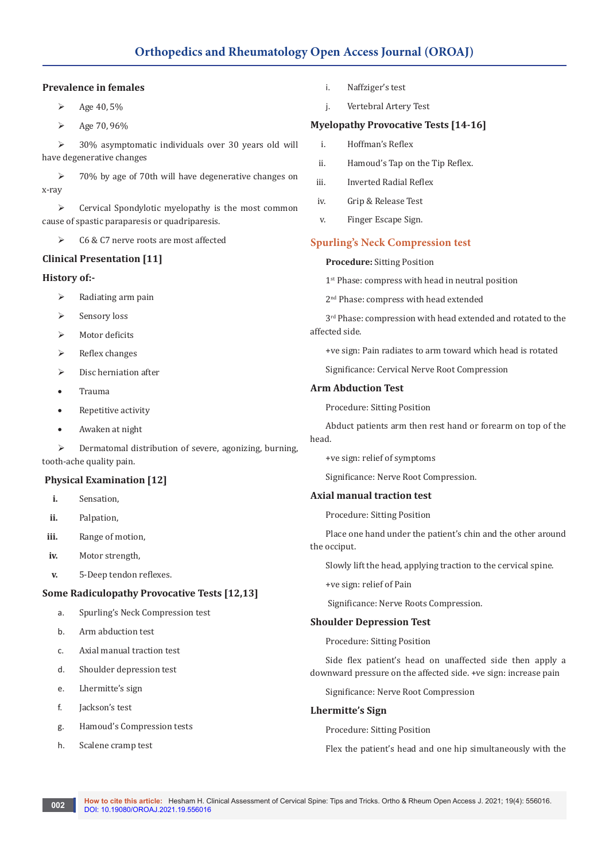# **Prevalence in females**

- $\triangleright$  Age 40, 5%
- $\triangleright$  Age 70, 96%

▶ 30% asymptomatic individuals over 30 years old will have degenerative changes

 70% by age of 70th will have degenerative changes on x-ray

 $\triangleright$  Cervical Spondylotic myelopathy is the most common cause of spastic paraparesis or quadriparesis.

▶ C6 & C7 nerve roots are most affected

# **Clinical Presentation [11]**

# **History of:-**

- $\triangleright$  Radiating arm pain
- $\triangleright$  Sensory loss
- Motor deficits
- $\triangleright$  Reflex changes
- $\triangleright$  Disc herniation after
- **Trauma**
- Repetitive activity
- • Awaken at night

 Dermatomal distribution of severe, agonizing, burning, tooth-ache quality pain.

# **Physical Examination [12]**

- **i.** Sensation,
- **ii.** Palpation,
- **iii.** Range of motion,
- **iv.** Motor strength,
- **v.** 5-Deep tendon reflexes.

# **Some Radiculopathy Provocative Tests [12,13]**

- a. Spurling's Neck Compression test
- b. Arm abduction test
- c. Axial manual traction test
- d. Shoulder depression test
- e. Lhermitte's sign
- f. Jackson's test
- g. Hamoud's Compression tests
- h. Scalene cramp test
- i. Naffziger's test
- j. Vertebral Artery Test

# **Myelopathy Provocative Tests [14-16]**

- i. Hoffman's Reflex
- ii. Hamoud's Tap on the Tip Reflex.
- iii. Inverted Radial Reflex
- iv. Grip & Release Test
- v. Finger Escape Sign.

# **Spurling's Neck Compression test**

#### **Procedure:** Sitting Position

1<sup>st</sup> Phase: compress with head in neutral position

2nd Phase: compress with head extended

 $3<sup>rd</sup>$  Phase: compression with head extended and rotated to the affected side.

+ve sign: Pain radiates to arm toward which head is rotated

Significance: Cervical Nerve Root Compression

# **Arm Abduction Test**

Procedure: Sitting Position

Abduct patients arm then rest hand or forearm on top of the head.

+ve sign: relief of symptoms

Significance: Nerve Root Compression.

# **Axial manual traction test**

Procedure: Sitting Position

Place one hand under the patient's chin and the other around the occiput.

Slowly lift the head, applying traction to the cervical spine.

+ve sign: relief of Pain

Significance: Nerve Roots Compression.

# **Shoulder Depression Test**

Procedure: Sitting Position

Side flex patient's head on unaffected side then apply a downward pressure on the affected side. +ve sign: increase pain

Significance: Nerve Root Compression

#### **Lhermitte's Sign**

Procedure: Sitting Position

Flex the patient's head and one hip simultaneously with the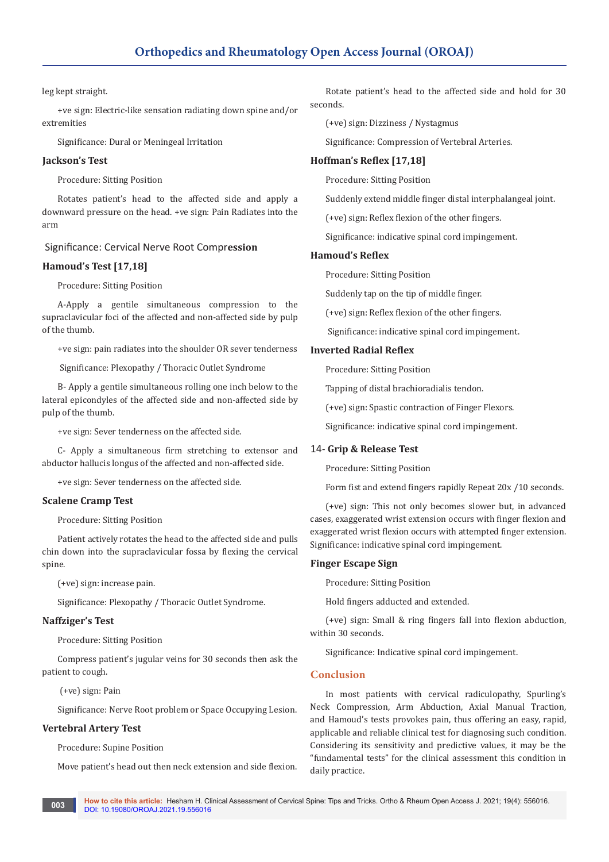#### leg kept straight.

+ve sign: Electric-like sensation radiating down spine and/or extremities

Significance: Dural or Meningeal Irritation

# **Jackson's Test**

Procedure: Sitting Position

Rotates patient's head to the affected side and apply a downward pressure on the head. +ve sign: Pain Radiates into the arm

# Significance: Cervical Nerve Root Compr**ession**

#### **Hamoud's Test [17,18]**

Procedure: Sitting Position

A-Apply a gentile simultaneous compression to the supraclavicular foci of the affected and non-affected side by pulp of the thumb.

+ve sign: pain radiates into the shoulder OR sever tenderness

Significance: Plexopathy / Thoracic Outlet Syndrome

B- Apply a gentile simultaneous rolling one inch below to the lateral epicondyles of the affected side and non-affected side by pulp of the thumb.

+ve sign: Sever tenderness on the affected side.

C- Apply a simultaneous firm stretching to extensor and abductor hallucis longus of the affected and non-affected side.

+ve sign: Sever tenderness on the affected side.

#### **Scalene Cramp Test**

Procedure: Sitting Position

Patient actively rotates the head to the affected side and pulls chin down into the supraclavicular fossa by flexing the cervical spine.

(+ve) sign: increase pain.

Significance: Plexopathy / Thoracic Outlet Syndrome.

#### **Naffziger's Test**

Procedure: Sitting Position

Compress patient's jugular veins for 30 seconds then ask the patient to cough.

(+ve) sign: Pain

Significance: Nerve Root problem or Space Occupying Lesion.

#### **Vertebral Artery Test**

Procedure: Supine Position

Move patient's head out then neck extension and side flexion.

Rotate patient's head to the affected side and hold for 30 seconds.

(+ve) sign: Dizziness / Nystagmus

Significance: Compression of Vertebral Arteries.

#### **Hoffman's Reflex [17,18]**

Procedure: Sitting Position

Suddenly extend middle finger distal interphalangeal joint.

(+ve) sign: Reflex flexion of the other fingers.

Significance: indicative spinal cord impingement.

#### **Hamoud's Reflex**

Procedure: Sitting Position

Suddenly tap on the tip of middle finger.

(+ve) sign: Reflex flexion of the other fingers.

Significance: indicative spinal cord impingement.

#### **Inverted Radial Reflex**

Procedure: Sitting Position

Tapping of distal brachioradialis tendon.

(+ve) sign: Spastic contraction of Finger Flexors.

Significance: indicative spinal cord impingement.

#### 14**- Grip & Release Test**

Procedure: Sitting Position

Form fist and extend fingers rapidly Repeat 20x /10 seconds.

(+ve) sign: This not only becomes slower but, in advanced cases, exaggerated wrist extension occurs with finger flexion and exaggerated wrist flexion occurs with attempted finger extension. Significance: indicative spinal cord impingement.

#### **Finger Escape Sign**

Procedure: Sitting Position

Hold fingers adducted and extended.

(+ve) sign: Small & ring fingers fall into flexion abduction, within 30 seconds.

Significance: Indicative spinal cord impingement.

#### **Conclusion**

In most patients with cervical radiculopathy, Spurling's Neck Compression, Arm Abduction, Axial Manual Traction, and Hamoud's tests provokes pain, thus offering an easy, rapid, applicable and reliable clinical test for diagnosing such condition. Considering its sensitivity and predictive values, it may be the "fundamental tests" for the clinical assessment this condition in daily practice.